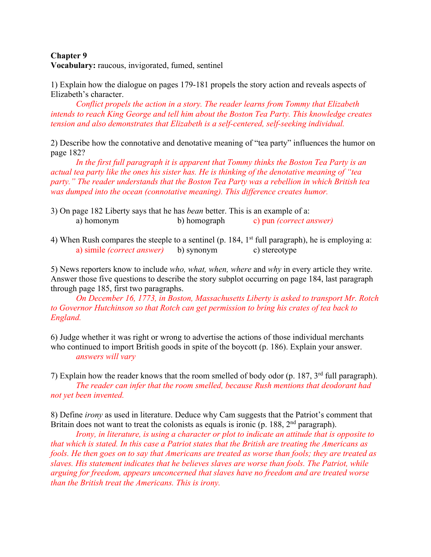## **Chapter 9 Vocabulary:** raucous, invigorated, fumed, sentinel

1) Explain how the dialogue on pages 179-181 propels the story action and reveals aspects of Elizabeth's character.

*Conflict propels the action in a story. The reader learns from Tommy that Elizabeth intends to reach King George and tell him about the Boston Tea Party. This knowledge creates tension and also demonstrates that Elizabeth is a self-centered, self-seeking individual.*

2) Describe how the connotative and denotative meaning of "tea party" influences the humor on page 182?

*In the first full paragraph it is apparent that Tommy thinks the Boston Tea Party is an actual tea party like the ones his sister has. He is thinking of the denotative meaning of "tea party." The reader understands that the Boston Tea Party was a rebellion in which British tea was dumped into the ocean (connotative meaning). This difference creates humor.*

- 3) On page 182 Liberty says that he has *bean* better. This is an example of a: a) homonym b) homograph c) pun *(correct answer)*
- 4) When Rush compares the steeple to a sentinel (p. 184,  $1<sup>st</sup>$  full paragraph), he is employing a: a) simile *(correct answer)* b) synonym c) stereotype

5) News reporters know to include *who, what, when, where* and *why* in every article they write. Answer those five questions to describe the story subplot occurring on page 184, last paragraph through page 185, first two paragraphs.

*On December 16, 1773, in Boston, Massachusetts Liberty is asked to transport Mr. Rotch to Governor Hutchinson so that Rotch can get permission to bring his crates of tea back to England.*

6) Judge whether it was right or wrong to advertise the actions of those individual merchants who continued to import British goods in spite of the boycott (p. 186). Explain your answer. *answers will vary*

7) Explain how the reader knows that the room smelled of body odor (p. 187,  $3<sup>rd</sup>$  full paragraph). *The reader can infer that the room smelled, because Rush mentions that deodorant had not yet been invented.*

8) Define *irony* as used in literature. Deduce why Cam suggests that the Patriot's comment that Britain does not want to treat the colonists as equals is ironic (p. 188,  $2<sup>nd</sup>$  paragraph).

*Irony, in literature, is using a character or plot to indicate an attitude that is opposite to that which is stated. In this case a Patriot states that the British are treating the Americans as fools. He then goes on to say that Americans are treated as worse than fools; they are treated as slaves. His statement indicates that he believes slaves are worse than fools. The Patriot, while arguing for freedom, appears unconcerned that slaves have no freedom and are treated worse than the British treat the Americans. This is irony.*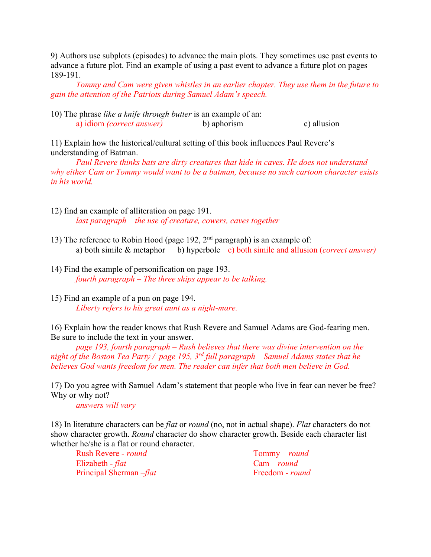9) Authors use subplots (episodes) to advance the main plots. They sometimes use past events to advance a future plot. Find an example of using a past event to advance a future plot on pages 189-191.

*Tommy and Cam were given whistles in an earlier chapter. They use them in the future to gain the attention of the Patriots during Samuel Adam's speech.*

10) The phrase *like a knife through butter* is an example of an: a) idiom *(correct answer)* b) aphorism c) allusion

11) Explain how the historical/cultural setting of this book influences Paul Revere's understanding of Batman.

*Paul Revere thinks bats are dirty creatures that hide in caves. He does not understand why either Cam or Tommy would want to be a batman, because no such cartoon character exists in his world.*

- 12) find an example of alliteration on page 191. *last paragraph – the use of creature, cowers, caves together*
- 13) The reference to Robin Hood (page 192,  $2<sup>nd</sup>$  paragraph) is an example of: a) both simile & metaphor b) hyperbole c) both simile and allusion (*correct answer)*
- 14) Find the example of personification on page 193. *fourth paragraph – The three ships appear to be talking.*
- 15) Find an example of a pun on page 194. *Liberty refers to his great aunt as a night-mare.*

16) Explain how the reader knows that Rush Revere and Samuel Adams are God-fearing men. Be sure to include the text in your answer.

*page 193, fourth paragraph – Rush believes that there was divine intervention on the night of the Boston Tea Party / page 195, 3rd full paragraph – Samuel Adams states that he believes God wants freedom for men. The reader can infer that both men believe in God.*

17) Do you agree with Samuel Adam's statement that people who live in fear can never be free? Why or why not?

*answers will vary*

18) In literature characters can be *flat* or *round* (no, not in actual shape). *Flat* characters do not show character growth. *Round* character do show character growth. Beside each character list whether he/she is a flat or round character.

Rush Revere - *round* Tommy – *round* Elizabeth - *flat* Cam – *round* Principal Sherman –*flat* Freedom - *round*